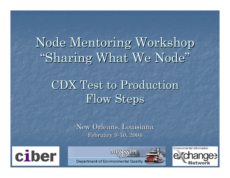Node Mentoring Workshop "Sharing What We Node"

### CDX Test to Production CDX Test to Production Flow Steps

New Orleans, Louisiana February 9-10, 2004





Environmental Information

**Department of Environmental Quality**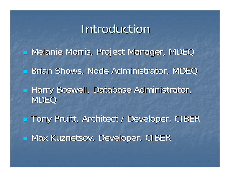#### **Introduction**

**u Melanie Morris, Project Manager, MDEC Brian Shows, Node Administrator, MDEC Harry Boswell, Database Administrator, MDEQ** ■ Tony Pruitt, Architect / Developer, CIBER **B** Max Kuznetsov, Developer, CIBER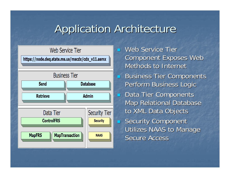### **Application Architecture**



Web Service Tier Component Exposes Web Methods to Internet **Business Tier Components** Perform Business Logic Data Tier Components **Map Relational Database** to XML Data Objects **Security Component** Utilizes NAAS to Manage Secure Access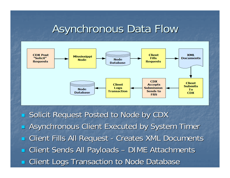#### **Asynchronous Data Flow**



Solicit Request Posted to Node by CDX Asynchronous Client Executed by System Timer Client Fills All Request - Creates XML Documents **Example 12 Client Sends All Payloads** – DIME Attachments Client Logs Transaction to Node Database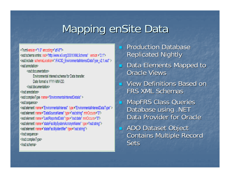## Mapping enSite Data

 $\leq$ ?x miversion ="1.0" encoding="utf-8"?> <xsd:schema xmlns: xsd="http://www.w3.org/2001/XMLSchema" version="2.1"> <xsd:include schemaLocation=".\FACID\_EnvironmentalInterestDataType\_v2.1.xsd" /> <xsd:annotation>

<xsd:documentation>

Environmental Interest schema for Data transfer Date format is YYYY-MM-DD.

</xsd:documentation>

</xsd:annotation>

<xsd:complexType name="EnvironmentalInterestDetails" >

<xsd:sequence>

```
<xsd:element_name="EnvironmentalInterest"_type="EnvironmentalInterestDataType" />
<xsd:element_name="DataSourceName" type="xsd:string" minOccurs="0">
<xsd:element_name="LastReportedDate" type="xsd:date" minOccurs="0">
<xsd:element_name="stateFacilitySystemAcronymName"_type ="xsd:string"/>
<xsd:element_name="stateFacilityIdentifier" type="xsd:string"/>
</xsd:sequence>
</xsd:complexType>
</xsd:schema>
```
 $\mathbb{R}^2$ **Production Database Replicated Nightly** 

- $\mathbb{R}^2$ Data Elements Mapped to **Oracle Views**
- $\mathbb{R}^2$ View Definitions Based on FRS XML Schemas
- $\mathbb{R}^2$ **MapFRS Class Queries** Database using .NET Data Provider for Oracle

 $\mathbb{R}^2$ **ADO Dataset Object Contains Multiple Record** Sets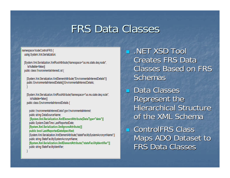### **FRS Data Classes**

F

namespace NodeControlFRS { using System.Xml.Serialization;

[System.Xml.Serialization.XmlRootAttribute(Namespace="us.ms.state.deq.node", IsNullable=false)] public class EnvironmentalInterestList {

[System.Xml.Serialization.XmlElementAttribute("EnvironmentalInterestDetails")] public EnvironmentalInterestDetails[] EnvironmentalInterestDetails;

[System.Xml.Serialization.XmlRootAttribute(Namespace="us.ms.state.deq.node", IsNullable=false)] public class EnvironmentalInterestDetails {

public EnvironmentalInterestDataType EnvironmentalInterest; public string DataSourceName; [System.Xml.Serialization.XmlElementAttribute(DataType="date")] public System.DateTime LastReportedDate; [System.Xml.Serialization.XmllgnoreAttribute()] public bool LastReportedDateSpecified; [System.Xml.Serialization.XmlElementAttribute("stateFacilitySystemAcronymName")] public string StateFacilitySystemAcronymName; [System.Xml.Serialization.XmlElementAttribute("stateFacilityIdentifier")]

public string StateFacilityIdentifier;

F  $\blacksquare$  .NET XSD Tool **Creates FRS Data Classes Based on FRS** Schemas

**Data Classes** Represent the Hierarchical Structure of the XML Schema

F **E** ControlFRS Class Maps ADO Dataset to FRS Data Classes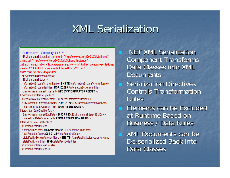### **XML Serialization**

- <? xml version="1.0" encoding="utf-8" ?>
- <EnvironmentalInterestList\_xmlns:xsd = "http://www.w3.org/2001/XMLSchema" xmlns:xsi-"http://www.w3.org/2001/XMLSchema-instance" xmlns:SchemaLocation ="http://www.epa.gov/enviro/html/frs\_demo/presentations/ version2.1/FACID EnvironmentalInterestList v2.1.xsd" xmlns="us.ms.state.deg.node">
- <FnvironmentalInterestDetails>
- <FnvironmentalInterest>
- <InformationSystemAcronymName> ENSITE</InformationSystemAcronymName>
- <InformationSystemIdentifier> MSR102095</InformationSystemIdentifier>
- <EnvironmentalInterestTypeText> NPDES STORMWATER PERMIT</ EnvironmentalInterestTypeText>
- <FederalStateInterestIndicator> F</FederalStateInterestIndicator>
- <EnvironmentalInterestStartDate> 2002-01-24</EnvironmentalInterestStartDate>
- <InterestStartDateQualifierText> PERMIT ISSUE DATE </
- InterestStartDateQualifierText>
- <EnvironmentalInterestEndDate> 2005-03-27</EnvironmentalInterestEndDate> <InterestEndDateQualifierText> PERMIT EXPIRATION DATE </ InterestEndDateQualifierText>
- </EnvironmentalInterest>
- <DataSourceName>MS State Master FILE</DataSourceName>
- <LastReportedDate>2004-01-31</LastReportedDate>
- <stateFacilitySystemAcronymName> ENSITE</stateFacilitySystemAcronymName> <stateFacilityIdentifier> 9999</stateFacilityIdentifier>
- </EnvironmentalInterestDetails>
- </EnvironmentalInterestList>
- $\mathbb{R}^2$ .NET XML Serialization **Component Transforms** Data Classes into XML **Documents**
- $\mathbb{R}^2$ **Serialization Directives Controls Transformation** Rules
- $\mathbb{R}^2$ Elements can be Excluded at Runtime Based on Business / Data Rules
- $\mathbb{R}^2$ XML Documents can be De-serialized Back into Data Classes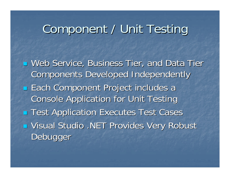# Component / Unit Testing

**u** Web Service, Business Tier, and Data Tier Components Developed Independently **Each Component Project includes a Console Application for Unit Testing Test Application Executes Test Cases u Visual Studio .NET Provides Very Robust** Debugger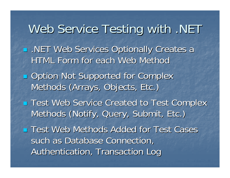Web Service Testing with .NET **.NET Web Services Optionally Creates a** HTML Form for each Web Method **Option Not Supported for Complex** Methods (Arrays, Objects, Etc.) **Test Web Service Created to Test Complex** Methods (Notify, Query, Submit, Etc.) **Test Web Methods Added for Test Cases** such as Database Connection, Authentication, Transaction Log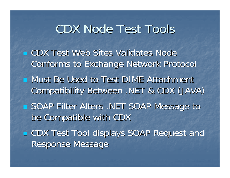### CDX Node Test Tools

**E** CDX Test Web Sites Validates Node Conforms to Exchange Network Protocol **u** Must Be Used to Test DIME Attachment Compatibility Between .NET & CDX (JAVA) Compatibility Between .NET & CDX (JAVA) **SOAP Filter Alters .NET SOAP Message to** be Compatible with CDX ■ CDX Test Tool displays SOAP Request and Response Message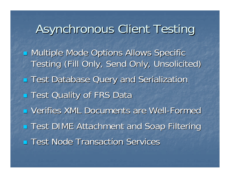Asynchronous Client Testing **E** Multiple Mode Options Allows Specific Testing (Fill Only, Send Only, Unsolicited) **Test Database Query and Serialization Test Quality of FRS Data - Verifies XML Documents are Well-Formed Test DIME Attachment and Soap Filtering Test Node Transaction Services**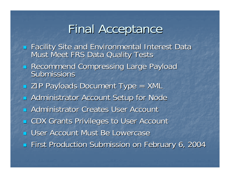### Final Acceptance

- F Facility Site and Environmental Interest Data Facility Site and Environmental Interest Data Must Meet FRS Data Quality Tests Must Meet FRS Data Quality Tests
- Recommend Compressing Large Payload Submissions
- **EXTERGE Payloads Document Type = XML**
- **E** Administrator Account Setup for Node
- **E** Administrator Creates User Account
- F **E CDX Grants Privileges to User Account**
- **E User Account Must Be Lowercase**
- F **First Production Submission on February 6, 2004**